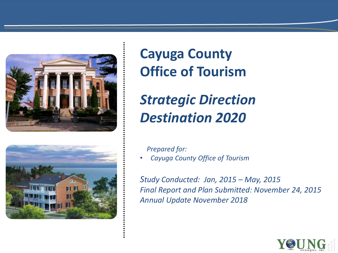



# **Cayuga County Office of Tourism**

# *Strategic Direction Destination 2020*

*Prepared for:*

• *Cayuga County Office of Tourism*

*Study Conducted: Jan, 2015 – May, 2015 Final Report and Plan Submitted: November 24, 2015 Annual Update November 2018*

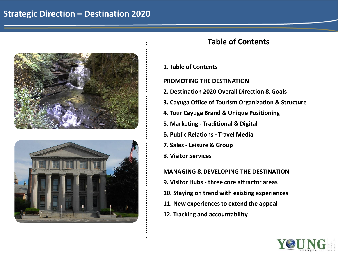# **Strategic Direction – Destination 2020**





# **Table of Contents**

**1. Table of Contents**

**PROMOTING THE DESTINATION** 

- **2. Destination 2020 Overall Direction & Goals**
- **3. Cayuga Office of Tourism Organization & Structure**
- **4. Tour Cayuga Brand & Unique Positioning**
- **5. Marketing - Traditional & Digital**
- **6. Public Relations - Travel Media**
- **7. Sales - Leisure & Group**
- **8. Visitor Services**

# **MANAGING & DEVELOPING THE DESTINATION**

- **9. Visitor Hubs - three core attractor areas**
- **10. Staying on trend with existing experiences**
- **11. New experiences to extend the appeal**
- **12. Tracking and accountability**

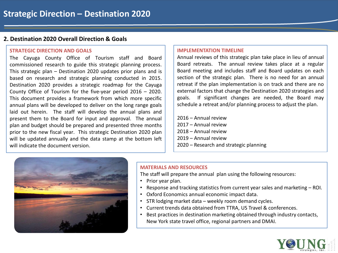# **2. Destination 2020 Overall Direction & Goals**

#### **STRATEGIC DIRECTION AND GOALS**

The Cayuga County Office of Tourism staff and Board commissioned research to guide this strategic planning process. This strategic plan – Destination 2020 updates prior plans and is based on research and strategic planning conducted in 2015. Destination 2020 provides a strategic roadmap for the Cayuga County Office of Tourism for the five-year period 2016 – 2020. This document provides a framework from which more specific annual plans will be developed to deliver on the long range goals laid out herein. The staff will develop the annual plans and present them to the Board for input and approval. The annual plan and budget should be prepared and presented three months prior to the new fiscal year. This strategic Destination 2020 plan will be updated annually and the data stamp at the bottom left will indicate the document version.

#### **IMPLEMENTATION TIMELINE**

Annual reviews of this strategic plan take place in lieu of annual Board retreats. The annual review takes place at a regular Board meeting and includes staff and Board updates on each section of the strategic plan. There is no need for an annual retreat if the plan implementation is on track and there are no external factors that change the Destination 2020 strategies and goals. If significant changes are needed, the Board may schedule a retreat and/or planning process to adjust the plan.

– Annual review – Annual review – Annual review – Annual review – Research and strategic planning



# **MATERIALS AND RESOURCES**

The staff will prepare the annual plan using the following resources:

- Prior year plan.
- Response and tracking statistics from current year sales and marketing ROI.
- Oxford Economics annual economic impact data.
- STR lodging market data weekly room demand cycles.
- Current trends data obtained from TTRA, US Travel & conferences.
- Best practices in destination marketing obtained through industry contacts, New York state travel office, regional partners and DMAI.

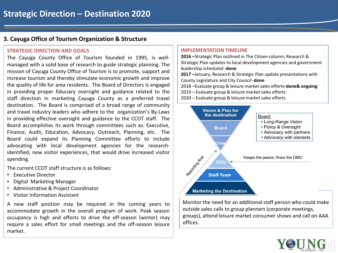# **3. Cayuga Office of Tourism Organization & Structure**

#### **STRATEGIC DIRECTION AND GOALS**

The Cayuga County Office of Tourism founded in 1995, is wellmanaged with a solid base of research to guide strategic planning. The mission of Cayuga County Office of Tourism is to promote, support and increase tourism and thereby stimulate economic growth and improve the quality of life for area residents. The Board of Directors is engaged in providing proper fiduciary oversight and guidance related to the staff direction in marketing Cayuga County as a preferred travel destination. The Board is comprised of a broad range of community and travel industry leaders who adhere to the organization's By-Laws in providing effective oversight and guidance to the CCOT staff. The Board accomplishes its work through committees such as: Executive, Finance, Audit, Education, Advocacy, Outreach, Planning, etc. The Board could expand its Planning Committee efforts to include advocating with local development agencies for the researchidentified, new visitor experiences, that would drive increased visitor spending.

The current CCOT staff structure is as follows:

- Executive Director
- Digital Marketing Manager
- Administrative & Project Coordinator
- Visitor Information Assistant

A new staff position may be required in the coming years to accommodate growth in the overall program of work. Peak season occupancy is high and efforts to drive the off-season (winter) may require a sales effort for small meetings and the off-season leisure market.

#### **IMPLEMENTATION TIMELINE**

**2016 –**Strategic Plan outlined in The Citizen column; Research & Strategic Plan updates to local development agencies and government leadership scheduled **-done**

**2017 –**January, Research & Strategic Plan update presentations with County Legislature and City Council **-done**

2018 –Evaluate group & leisure market sales efforts**-done& ongoing**

- 2019 Evaluate group & leisure market sales efforts
- 2020 Evaluate group & leisure market sales efforts



Monitor the need for an additional staff person who could make outside sales calls to group planners (corporate meetings, groups), attend leisure market consumer shows and call on AAA offices.

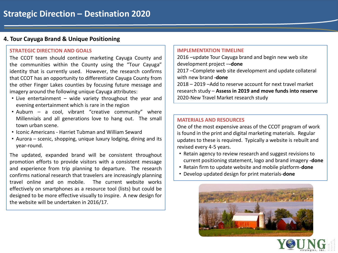# **4. Tour Cayuga Brand & Unique Positioning**

#### **STRATEGIC DIRECTION AND GOALS**

The CCOT team should continue marketing Cayuga County and the communities within the County using the "Tour Cayuga" identity that is currently used. However, the research confirms that CCOT has an opportunity to differentiate Cayuga County from the other Finger Lakes counties by focusing future message and imagery around the following unique Cayuga attributes:

- Live entertainment wide variety throughout the year and evening entertainment which is rare in the region
- Auburn a cool, vibrant "creative community" where Millennials and all generations love to hang out. The small town urban scene.
- Iconic Americans Harriet Tubman and William Seward
- Aurora scenic, shopping, unique luxury lodging, dining and its year-round.

The updated, expanded brand will be consistent throughout promotion efforts to provide visitors with a consistent message and experience from trip planning to departure. The research confirms national research that travelers are increasingly planning travel online and on mobile. The current website works effectively on smartphones as a resource tool (lists) but could be designed to be more effective visually to inspire. A new design for the website will be undertaken in 2016/17.

#### **IMPLEMENTATION TIMELINE**

2016 –update Tour Cayuga brand and begin new web site development project –**-done**

2017 –Complete web site development and update collateral with new brand **-done**

2018 – 2019 –Add to reserve account for next travel market research study – **Assess in 2019 and move funds into reserve** 2020-New Travel Market research study

#### **MATERIALS AND RESOURCES**

One of the most expensive areas of the CCOT program of work is found in the print and digital marketing materials. Regular updates to these is required. Typically a website is rebuilt and revised every 4-5 years.

- Retain agency to review research and suggest revisions to current positioning statement, logo and brand imagery **-done**
- Retain firm to update website and mobile platform-**done**
- Develop updated design for print materials-**done**

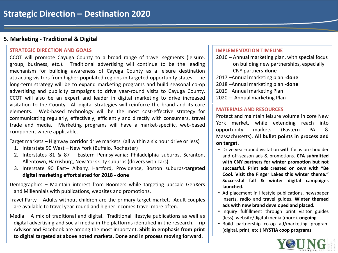# **5. Marketing - Traditional & Digital**

#### **STRATEGIC DIRECTION AND GOALS**

CCOT will promote Cayuga County to a broad range of travel segments (leisure, group, business, etc.). Traditional advertising will continue to be the leading mechanism for building awareness of Cayuga County as a leisure destination attracting visitors from higher-populated regions in targeted opportunity states. The long-term strategy will be to expand marketing programs and build seasonal co-op advertising and publicity campaigns to drive year-round visits to Cayuga County. CCOT will also be an expert and leader in digital marketing to drive increased visitation to the County. All digital strategies will reinforce the brand and its core elements. Web-based technology will be the most cost-effective strategy for communicating regularly, effectively, efficiently and directly with consumers, travel trade and media. Marketing programs will have a market-specific, web-based component where applicable.

Target markets – Highway corridor drive markets (all within a six hour drive or less)

- 1. Interstate 90 West New York (Buffalo, Rochester)
- 2. Interstates 81 & 87 Eastern Pennsylvania: Philadelphia suburbs, Scranton, Allentown, Harrisburg, New York City suburbs (drivers with cars)
- 3. Interstate 90 East– Albany, Hartford, Providence, Boston suburbs-**targeted digital marketing effort slated for 2018 - done**
- Demographics Maintain interest from Boomers while targeting upscale GenXers and Millennials with publications, websites and promotions.
- Travel Party Adults without children are the primary target market. Adult couples are available to travel year-round and higher incomes travel more often.
- Media A mix of traditional and digital. Traditional lifestyle publications as well as digital advertising and social media in the platforms identified in the research. Trip Advisor and Facebook are among the most important. **Shift in emphasis from print to digital targeted at above noted markets. Done and in process moving forward.**

#### **IMPLEMENTATION TIMELINE**

- 2016 Annual marketing plan, with special focus on building new partnerships, especially CNY partners-**done**
- 2017 –Annual marketing plan -**done**
- 2018 –Annual marketing plan -**done**
- 2019 –Annual marketing Plan
- 2020 Annual marketing Plan

#### **MATERIALS AND RESOURCES**

Protect and maintain leisure volume in core New York market, while extending reach into opportunity markets (Eastern PA & Massachusetts). **All bullet points in process and on target.**

- Drive year-round visitation with focus on shoulder and off-season ads & promotions. **CFA submitted with CNY partners for winter promotion but not successful. Print ads created on own with "Be Cool. Visit the Finger Lakes this winter theme." Successful fall & winter digital campaigns launched.**
- Ad placement in lifestyle publications, newspaper inserts, radio and travel guides. **Winter themed ads with new brand developed and placed.**
- Inquiry fulfillment through print visitor guides (less), website/digital media (more). **ongoing**
- Build partnership co-op ad/marketing program (digital, print, etc.).**NYSTIA coop programs**

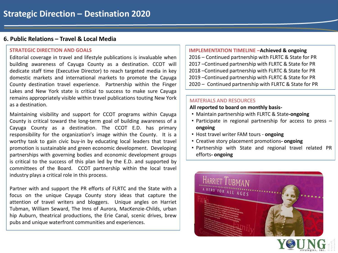# **6. Public Relations – Travel & Local Media**

#### **STRATEGIC DIRECTION AND GOALS**

Editorial coverage in travel and lifestyle publications is invaluable when building awareness of Cayuga County as a destination. CCOT will dedicate staff time (Executive Director) to reach targeted media in key domestic markets and international markets to promote the Cayuga County destination travel experience. Partnership within the Finger Lakes and New York state is critical to success to make sure Cayuga remains appropriately visible within travel publications touting New York as a destination.

Maintaining visibility and support for CCOT programs within Cayuga County is critical toward the long-term goal of building awareness of a Cayuga County as a destination. The CCOT E.D. has primary responsibility for the organization's image within the County. It is a worthy task to gain civic buy-in by educating local leaders that travel promotion is sustainable and green economic development. Developing partnerships with governing bodies and economic development groups is critical to the success of this plan led by the E.D. and supported by committees of the Board. CCOT partnership within the local travel industry plays a critical role in this process.

Partner with and support the PR efforts of FLRTC and the State with a focus on the unique Cayuga County story ideas that capture the attention of travel writers and bloggers. Unique angles on Harriet Tubman, William Seward, The Inns of Aurora, MacKenzie-Childs, urban hip Auburn, theatrical productions, the Erie Canal, scenic drives, brew pubs and unique waterfront communities and experiences.

#### **IMPLEMENTATION TIMELINE –Achieved & ongoing**

– Continued partnership with FLRTC & State for PR –Continued partnership with FLRTC & State for PR –Continued partnership with FLRTC & State for PR –Continued partnership with FLRTC & State for PR – Continued partnership with FLRTC & State for PR

#### MATERIALS AND RESOURCES

#### **All reported to board on monthly basis-**

- Maintain partnership with FLRTC & State**-ongoing**
- Participate in regional partnership for access to press **ongoing**
- Host travel writer FAM tours **ongoing**
- Creative story placement promotions**- ongoing**
- Partnership with State and regional travel related PR efforts**- ongoing**



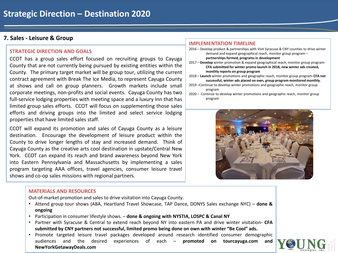# **7. Sales - Leisure & Group**

#### **STRATEGIC DIRECTION AND GOALS**

CCOT has a group sales effort focused on recruiting groups to Cayuga County that are not currently being pursued by existing entities within the County. The primary target market will be group tour, utilizing the current contract agreement with Break The Ice Media, to represent Cayuga County at shows and call on group planners. Growth markets include small corporate meetings, non-profits and social events. Cayuga County has two full-service lodging properties with meeting space and a luxury Inn that has limited group sales efforts. CCOT will focus on supplementing those sales efforts and driving groups into the limited and select service lodging properties that have limited sales staff.

CCOT will expand its promotion and sales of Cayuga County as a leisure destination. Encourage the development of leisure product within the County to drive longer lengths of stay and increased demand. Think of Cayuga County as the creative arts cool destination in upstate/Central New York. CCOT can expand its reach and brand awareness beyond New York into Eastern Pennsylvania and Massachusetts by implementing a sales program targeting AAA offices, travel agencies, consumer leisure travel shows and co-op sales missions with regional partners.

#### **MATERIALS AND RESOURCES**

Out-of-market promotion and sales to drive visitation into Cayuga County.

- Attend group tour shows (ABA, Heartland Travel Showcase, TAP Dance, DONYS Sales exchange NYC) **done & ongoing**
- Participation in consumer lifestyle shows. **done & ongoing with NYSTIA, LOSPC & Canal NY**
- Partner with Syracuse & Central to extend reach beyond NY into eastern PA and drive winter visitation- **CFA submitted by CNY partners not successful, limited promo being done on own with winter "Be Cool" ads.**
- Promote targeted leisure travel packages developed around research identified consumer demographic audiences and the desired experiences of each – **promoted on tourcayuga.com and NewYorkGetawayDeals.com**

#### **IMPLEMENTATION TIMELINE**

- 2016 Develop product & partnerships with Visit Syracuse & CNY counties to drive winter demand and expand geographical reach, monitor group program – **partnerships formed, programs in development**
- 2017 **Develop** winter promotion & expand geographical reach, monitor group program**-CFA submitted for winter promo launch in 2018, new winter ads created, monthly reports on group program**
- 2018 **Launch** winter promotions and geographic reach, monitor group program-**CFA not successful, winter ads placed on own, group program monitored monthly.**
- 2019 –Continue to develop winter promotions and geographic reach, monitor group program

2020 – Continue to develop winter promotions and geographic reach, monitor group program



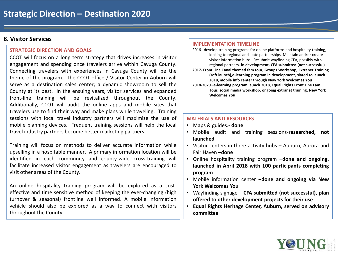### **8. Visitor Services**

#### **STRATEGIC DIRECTION AND GOALS**

CCOT will focus on a long term strategy that drives increases in visitor engagement and spending once travelers arrive within Cayuga County. Connecting travelers with experiences in Cayuga County will be the theme of the program. The CCOT office / Visitor Center in Auburn will serve as a destination sales center; a dynamic showroom to sell the County at its best. In the ensuing years, visitor services and expanded front-line training will be revitalized throughout the County. Additionally, CCOT will audit the online apps and mobile sites that travelers use to find their way and make plans while traveling. Training sessions with local travel industry partners will maximize the use of mobile planning devices. Frequent training sessions will help the local travel industry partners become better marketing partners.

Training will focus on methods to deliver accurate information while upselling in a hospitable manner. A primary information location will be identified in each community and county-wide cross-training will facilitate increased visitor engagement as travelers are encouraged to visit other areas of the County.

An online hospitality training program will be explored as a costeffective and time sensitive method of keeping the ever-changing (high turnover & seasonal) frontline well informed. A mobile information vehicle should also be explored as a way to connect with visitors throughout the County.

#### **IMPLEMENTATION TIMELINE**

2016 –develop training programs for online platforms and hospitality training, looking to regional and state partnerships. Maintain and/or create visitor information hubs. Resubmit wayfinding CFA, possibly with regional partners**- in development, CFA submitted (not successful) 2017- Front Line Canal themed fam tour, Groups Workshop, Extranet Training (soft launch),e-learning program in development, slated to launch 2018, mobile info center through New York Welcomes You 2018-2020 –e-learning program launch 2018, Equal Rights Front Line Fam Tour, social media workshop, ongoing extranet training, New York Welcomes You**

- Maps & guides.**- done**
- Mobile audit and training sessions-**researched, not launched**
- Visitor centers in three activity hubs Auburn, Aurora and Fair Haven **–done**
- Online hospitality training program –**done and ongoing. launched in April 2018 with 100 participants completing program**
- Mobile information center **–done and ongoing via New York Welcomes You**
- Wayfinding signage **CFA submitted (not successful), plan offered to other development projects for their use**
- **Equal Rights Heritage Center, Auburn, served on advisory committee**

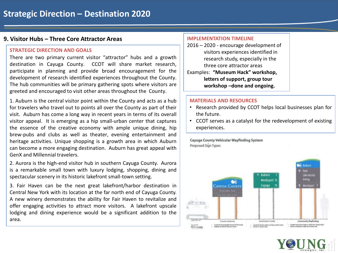# **9. Visitor Hubs – Three Core Attractor Areas**

#### **STRATEGIC DIRECTION AND GOALS**

There are two primary current visitor "attractor" hubs and a growth destination in Cayuga County. CCOT will share market research, participate in planning and provide broad encouragement for the development of research identified experiences throughout the County. The hub communities will be primary gathering spots where visitors are greeted and encouraged to visit other areas throughout the County.

1. Auburn is the central visitor point within the County and acts as a hub for travelers who travel out to points all over the County as part of their visit. Auburn has come a long way in recent years in terms of its overall visitor appeal. It is emerging as a hip small-urban center that captures the essence of the creative economy with ample unique dining, hip brew-pubs and clubs as well as theater, evening entertainment and heritage activities. Unique shopping is a growth area in which Auburn can become a more engaging destination. Auburn has great appeal with GenX and Millennial travelers.

2. Aurora is the high-end visitor hub in southern Cayuga County. Aurora is a remarkable small town with luxury lodging, shopping, dining and spectacular scenery in its historic lakefront small-town setting.

3. Fair Haven can be the next great lakefront/harbor destination in Central New York with its location at the far north end of Cayuga County. A new winery demonstrates the ability for Fair Haven to revitalize and offer engaging activities to attract more visitors. A lakefront upscale lodging and dining experience would be a significant addition to the area.

#### **IMPLEMENTATION TIMELINE**

2016 – 2020 - encourage development of visitors experiences identified in research study, especially in the three core attractor areas Examples: **"Museum Hack" workshop, letters of support, group tour workshop –done and ongoing.**

#### **MATERIALS AND RESOURCES**

- Research provided by CCOT helps local businesses plan for the future.
- CCOT serves as a catalyst for the redevelopment of existing experiences.

Cayuga County Vehicular Wayfinding System **Proposed Sign Types** 

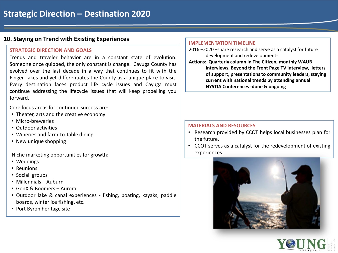# **10. Staying on Trend with Existing Experiences**

#### **STRATEGIC DIRECTION AND GOALS**

Trends and traveler behavior are in a constant state of evolution. Someone once quipped, the only constant is change. Cayuga County has evolved over the last decade in a way that continues to fit with the Finger Lakes and yet differentiates the County as a unique place to visit. Every destination faces product life cycle issues and Cayuga must continue addressing the lifecycle issues that will keep propelling you forward.

Core focus areas for continued success are:

- Theater, arts and the creative economy
- Micro-breweries
- Outdoor activities
- Wineries and farm-to-table dining
- New unique shopping

Niche marketing opportunities for growth:

- Weddings
- Reunions
- Social groups
- Millennials Auburn
- GenX & Boomers Aurora
- Outdoor lake & canal experiences fishing, boating, kayaks, paddle boards, winter ice fishing, etc.
- Port Byron heritage site

#### **IMPLEMENTATION TIMELINE**

- 2016 –2020 –share research and serve as a catalyst for future development and redevelopment-
- **Actions: Quarterly column in The Citizen, monthly WAUB interviews, Beyond the Front Page TV interview, letters of support, presentations to community leaders, staying current with national trends by attending annual NYSTIA Conferences -done & ongoing**

- Research provided by CCOT helps local businesses plan for the future.
- CCOT serves as a catalyst for the redevelopment of existing experiences.



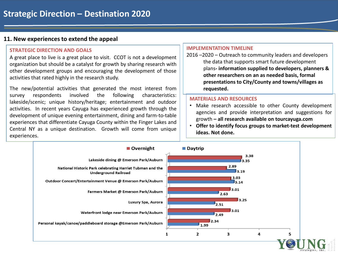# **11. New experiences to extend the appeal**

#### **STRATEGIC DIRECTION AND GOALS**

A great place to live is a great place to visit. CCOT is not a development organization but should be a catalyst for growth by sharing research with other development groups and encouraging the development of those activities that rated highly in the research study.

The new/potential activities that generated the most interest from survey respondents involved the following characteristics: lakeside/scenic; unique history/heritage; entertainment and outdoor activities. In recent years Cayuga has experienced growth through the development of unique evening entertainment, dining and farm-to-table experiences that differentiate Cayuga County within the Finger Lakes and Central NY as a unique destination. Growth will come from unique experiences.

#### **IMPLEMENTATION TIMELINE**

2016 –2020 – Outreach to community leaders and developers the data that supports smart future development plans**- information supplied to developers, planners & other researchers on an as needed basis, formal presentations to City/County and towns/villages as requested.**

- Make research accessible to other County development agencies and provide interpretation and suggestions for growth **– all research available on tourcayuga.com**
- **Offer to identify focus groups to market-test development ideas. Not done.**

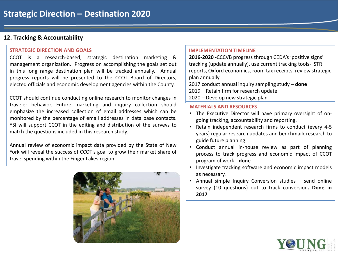# **12. Tracking & Accountability**

#### **STRATEGIC DIRECTION AND GOALS**

CCOT is a research-based, strategic destination marketing & management organization. Progress on accomplishing the goals set out in this long range destination plan will be tracked annually. Annual progress reports will be presented to the CCOT Board of Directors, elected officials and economic development agencies within the County.

CCOT should continue conducting online research to monitor changes in traveler behavior. Future marketing and inquiry collection should emphasize the increased collection of email addresses which can be monitored by the percentage of email addresses in data base contacts. YSI will support CCOT in the editing and distribution of the surveys to match the questions included in this research study.

Annual review of economic impact data provided by the State of New York will reveal the success of CCOT's goal to grow their market share of travel spending within the Finger Lakes region.



#### **IMPLEMENTATION TIMELINE**

**2016-2020 -**CCCVB progress through CEDA's 'positive signs' tracking (update annually), use current tracking tools- STR reports, Oxford economics, room tax receipts, review strategic plan annually

2017 conduct annual inquiry sampling study **– done** 2019 – Retain firm for research update 2020 – Develop new strategic plan

- The Executive Director will have primary oversight of ongoing tracking, accountability and reporting.
- Retain independent research firms to conduct (every 4-5 years) regular research updates and benchmark research to guide future planning.
- Conduct annual in-house review as part of planning process to track progress and economic impact of CCOT program of work. -**done**
- Investigate tracking software and economic impact models as necessary.
- Annual simple Inquiry Conversion studies send online survey (10 questions) out to track conversion**. Done in 2017**